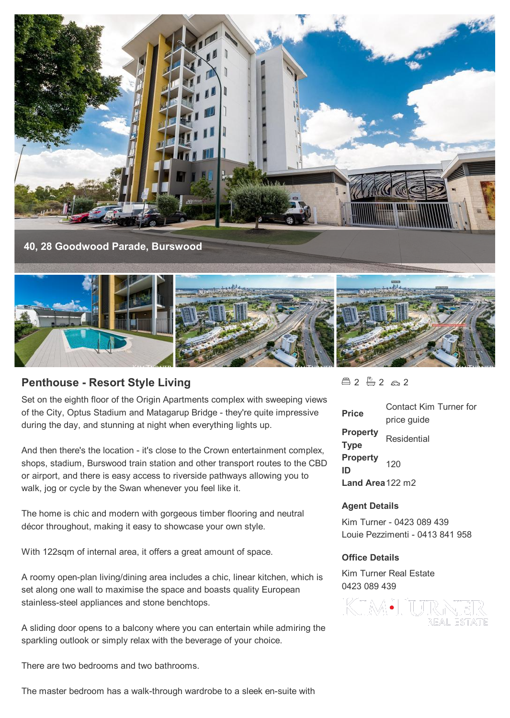

# **Penthouse - Resort Style Living**

Set on the eighth floor of the Origin Apartments complex with sweeping views of the City, Optus Stadium and Matagarup Bridge - they're quite impressive during the day, and stunning at night when everything lights up.

And then there's the location - it's close to the Crown entertainment complex, shops, stadium, Burswood train station and other transport routes to the CBD or airport, and there is easy access to riverside pathways allowing you to walk, jog or cycle by the Swan whenever you feel like it.

The home is chic and modern with gorgeous timber flooring and neutral décor throughout, making it easy to showcase your own style.

With 122sqm of internal area, it offers a great amount of space.

A roomy open-plan living/dining area includes a chic, linear kitchen, which is set along one wall to maximise the space and boasts quality European stainless-steel appliances and stone benchtops.

A sliding door opens to a balcony where you can entertain while admiring the sparkling outlook or simply relax with the beverage of your choice.

There are two bedrooms and two bathrooms.

The master bedroom has a walk-through wardrobe to a sleek en-suite with

 $22222$ 

| <b>Price</b>                   | Contact Kim Turner for<br>price guide |
|--------------------------------|---------------------------------------|
| <b>Property</b><br><b>Type</b> | Residential                           |
| <b>Property</b><br>ID          | 120                                   |
| Land Area $122 \text{ m}$      |                                       |

#### **Agent Details**

Kim Turner - 0423 089 439 Louie Pezzimenti - 0413 841 958

#### **Office Details**

Kim Turner Real Estate 0423 089 439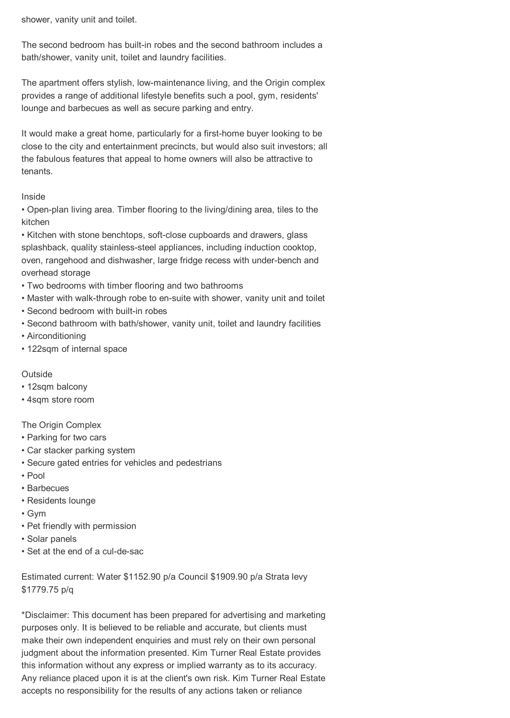shower, vanity unit and toilet.

The second bedroom has built-in robes and the second bathroom includes a bath/shower, vanity unit, toilet and laundry facilities.

The apartment offers stylish, low-maintenance living, and the Origin complex provides a range of additional lifestyle benefits such a pool, gym, residents' lounge and barbecues as well as secure parking and entry.

It would make a great home, particularly for a first-home buyer looking to be close to the city and entertainment precincts, but would also suit investors; all the fabulous features that appeal to home owners will also be attractive to tenants.

## Inside

• Open-plan living area. Timber flooring to the living/dining area, tiles to the kitchen

• Kitchen with stone benchtops, soft-close cupboards and drawers, glass splashback, quality stainless-steel appliances, including induction cooktop, oven, rangehood and dishwasher, large fridge recess with under-bench and overhead storage

- Two bedrooms with timber flooring and two bathrooms
- Master with walk-through robe to en-suite with shower, vanity unit and toilet
- Second bedroom with built-in robes
- Second bathroom with bath/shower, vanity unit, toilet and laundry facilities
- Airconditioning
- 122sqm of internal space

### **Outside**

- 12sqm balcony
- 4sqm store room

## The Origin Complex

- Parking for two cars
- Car stacker parking system
- Secure gated entries for vehicles and pedestrians
- Pool
- Barbecues
- Residents lounge
- Gym
- Pet friendly with permission
- Solar panels
- Set at the end of a cul-de-sac

Estimated current: Water \$1152.90 p/a Council \$1909.90 p/a Strata levy \$1779.75 p/q

\*Disclaimer: This document has been prepared for advertising and marketing purposes only. It is believed to be reliable and accurate, but clients must make their own independent enquiries and must rely on their own personal judgment about the information presented. Kim Turner Real Estate provides this information without any express or implied warranty as to its accuracy. Any reliance placed upon it is at the client's own risk. Kim Turner Real Estate accepts no responsibility for the results of any actions taken or reliance